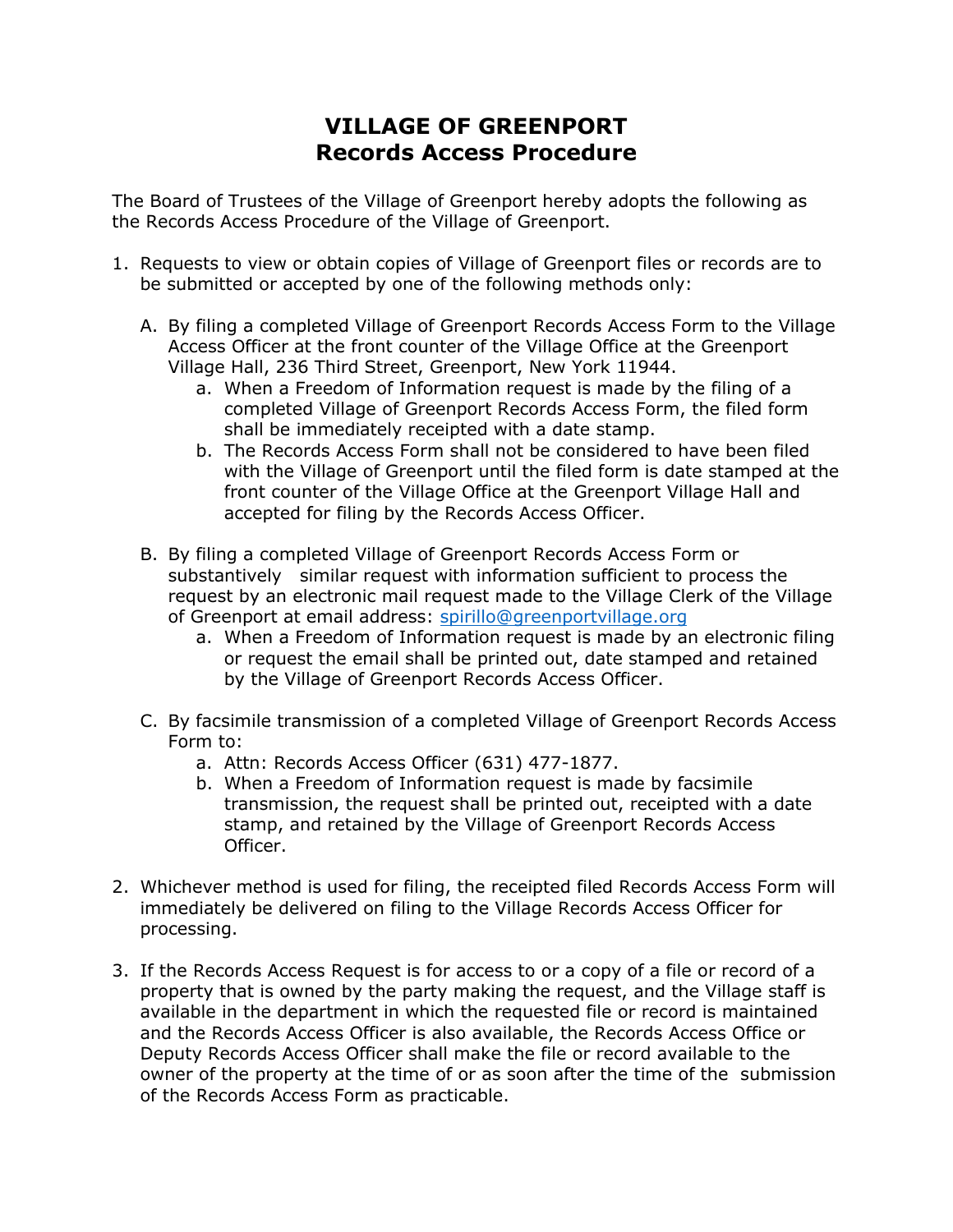## **VILLAGE OF GREENPORT Records Access Procedure**

The Board of Trustees of the Village of Greenport hereby adopts the following as the Records Access Procedure of the Village of Greenport.

- 1. Requests to view or obtain copies of Village of Greenport files or records are to be submitted or accepted by one of the following methods only:
	- A. By filing a completed Village of Greenport Records Access Form to the Village Access Officer at the front counter of the Village Office at the Greenport Village Hall, 236 Third Street, Greenport, New York 11944.
		- a. When a Freedom of Information request is made by the filing of a completed Village of Greenport Records Access Form, the filed form shall be immediately receipted with a date stamp.
		- b. The Records Access Form shall not be considered to have been filed with the Village of Greenport until the filed form is date stamped at the front counter of the Village Office at the Greenport Village Hall and accepted for filing by the Records Access Officer.
	- B. By filing a completed Village of Greenport Records Access Form or substantively similar request with information sufficient to process the request by an electronic mail request made to the Village Clerk of the Village of Greenport at email address: [spirillo@greenportvillage.org](mailto:spirillo@greenportvillage.org)
		- a. When a Freedom of Information request is made by an electronic filing or request the email shall be printed out, date stamped and retained by the Village of Greenport Records Access Officer.
	- C. By facsimile transmission of a completed Village of Greenport Records Access Form to:
		- a. Attn: Records Access Officer (631) 477-1877.
		- b. When a Freedom of Information request is made by facsimile transmission, the request shall be printed out, receipted with a date stamp, and retained by the Village of Greenport Records Access Officer.
- 2. Whichever method is used for filing, the receipted filed Records Access Form will immediately be delivered on filing to the Village Records Access Officer for processing.
- 3. If the Records Access Request is for access to or a copy of a file or record of a property that is owned by the party making the request, and the Village staff is available in the department in which the requested file or record is maintained and the Records Access Officer is also available, the Records Access Office or Deputy Records Access Officer shall make the file or record available to the owner of the property at the time of or as soon after the time of the submission of the Records Access Form as practicable.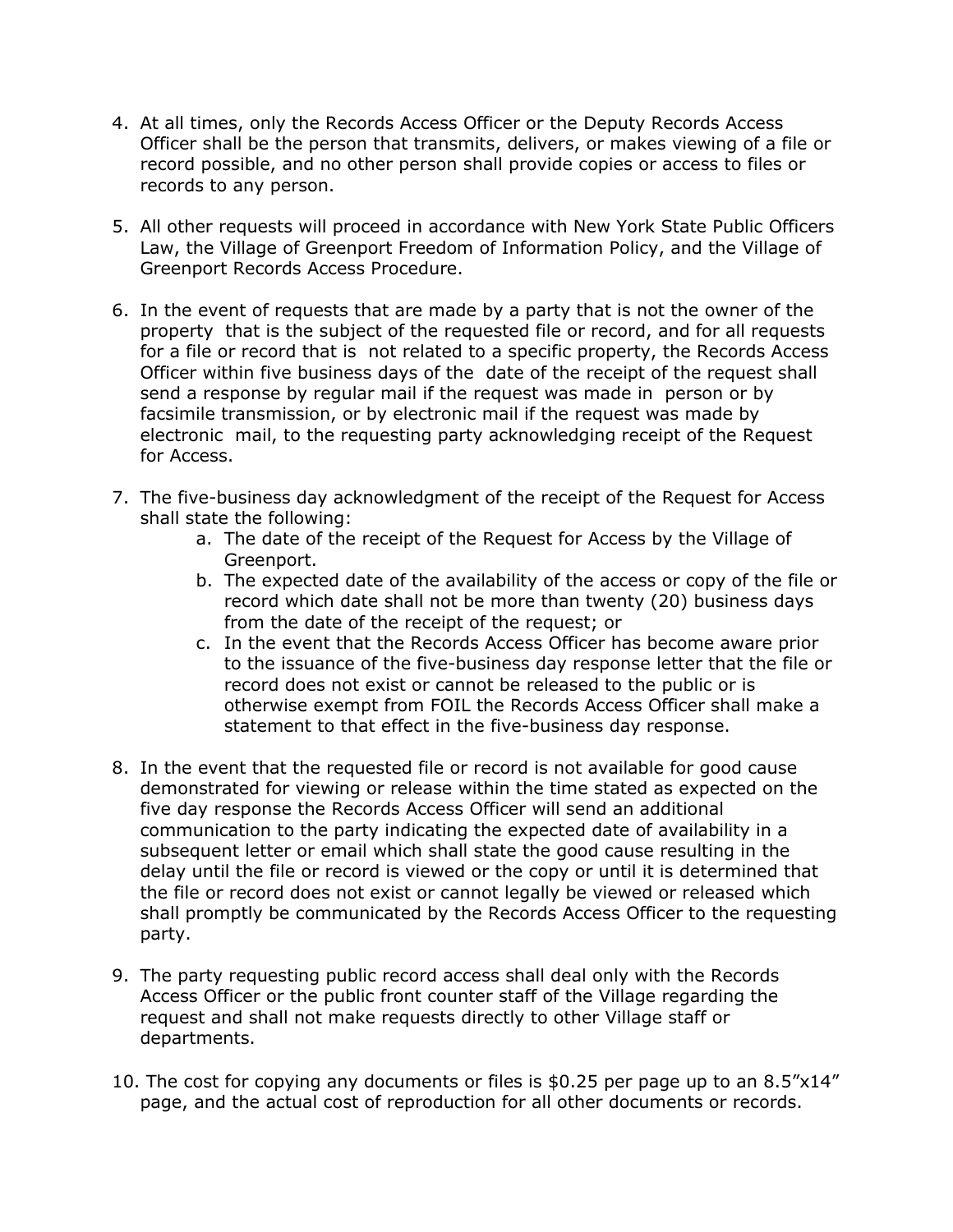- 4. At all times, only the Records Access Officer or the Deputy Records Access Officer shall be the person that transmits, delivers, or makes viewing of a file or record possible, and no other person shall provide copies or access to files or records to any person.
- 5. All other requests will proceed in accordance with New York State Public Officers Law, the Village of Greenport Freedom of Information Policy, and the Village of Greenport Records Access Procedure.
- 6. In the event of requests that are made by a party that is not the owner of the property that is the subject of the requested file or record, and for all requests for a file or record that is not related to a specific property, the Records Access Officer within five business days of the date of the receipt of the request shall send a response by regular mail if the request was made in person or by facsimile transmission, or by electronic mail if the request was made by electronic mail, to the requesting party acknowledging receipt of the Request for Access.
- 7. The five-business day acknowledgment of the receipt of the Request for Access shall state the following:
	- a. The date of the receipt of the Request for Access by the Village of Greenport.
	- b. The expected date of the availability of the access or copy of the file or record which date shall not be more than twenty (20) business days from the date of the receipt of the request; or
	- c. In the event that the Records Access Officer has become aware prior to the issuance of the five-business day response letter that the file or record does not exist or cannot be released to the public or is otherwise exempt from FOIL the Records Access Officer shall make a statement to that effect in the five-business day response.
- 8. In the event that the requested file or record is not available for good cause demonstrated for viewing or release within the time stated as expected on the five day response the Records Access Officer will send an additional communication to the party indicating the expected date of availability in a subsequent letter or email which shall state the good cause resulting in the delay until the file or record is viewed or the copy or until it is determined that the file or record does not exist or cannot legally be viewed or released which shall promptly be communicated by the Records Access Officer to the requesting party.
- 9. The party requesting public record access shall deal only with the Records Access Officer or the public front counter staff of the Village regarding the request and shall not make requests directly to other Village staff or departments.
- 10. The cost for copying any documents or files is \$0.25 per page up to an 8.5"x14" page, and the actual cost of reproduction for all other documents or records.